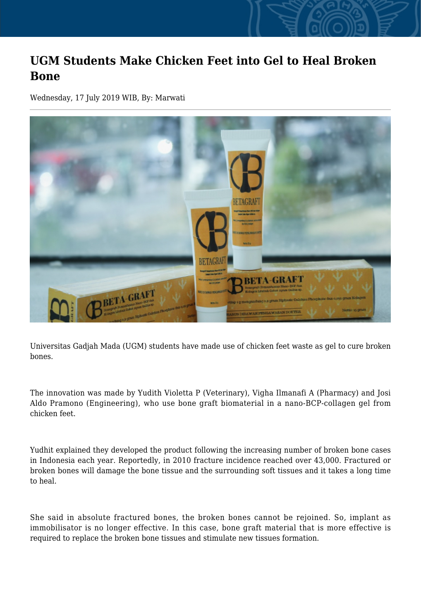## **UGM Students Make Chicken Feet into Gel to Heal Broken Bone**

Wednesday, 17 July 2019 WIB, By: Marwati



Universitas Gadjah Mada (UGM) students have made use of chicken feet waste as gel to cure broken bones.

The innovation was made by Yudith Violetta P (Veterinary), Vigha Ilmanafi A (Pharmacy) and Josi Aldo Pramono (Engineering), who use bone graft biomaterial in a nano-BCP-collagen gel from chicken feet.

Yudhit explained they developed the product following the increasing number of broken bone cases in Indonesia each year. Reportedly, in 2010 fracture incidence reached over 43,000. Fractured or broken bones will damage the bone tissue and the surrounding soft tissues and it takes a long time to heal.

She said in absolute fractured bones, the broken bones cannot be rejoined. So, implant as immobilisator is no longer effective. In this case, bone graft material that is more effective is required to replace the broken bone tissues and stimulate new tissues formation.